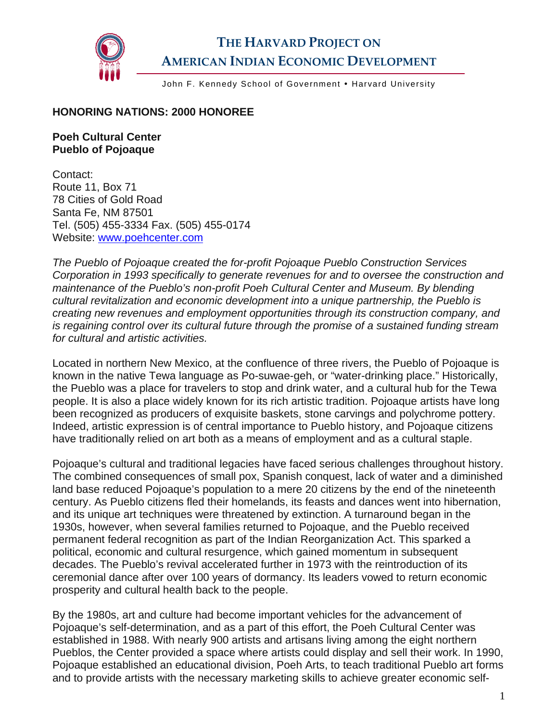

## **THE HARVARD PROJECT ON AMERICAN INDIAN ECONOMIC DEVELOPMENT**

John F. Kennedy School of Government . Harvard University

## **HONORING NATIONS: 2000 HONOREE**

## **Poeh Cultural Center Pueblo of Pojoaque**

Contact: Route 11, Box 71 78 Cities of Gold Road Santa Fe, NM 87501 Tel. (505) 455-3334 Fax. (505) 455-0174 Website: [www.poehcenter.com](http://www.poehcenter.com/)

*The Pueblo of Pojoaque created the for-profit Pojoaque Pueblo Construction Services Corporation in 1993 specifically to generate revenues for and to oversee the construction and maintenance of the Pueblo's non-profit Poeh Cultural Center and Museum. By blending cultural revitalization and economic development into a unique partnership, the Pueblo is creating new revenues and employment opportunities through its construction company, and is regaining control over its cultural future through the promise of a sustained funding stream for cultural and artistic activities.* 

Located in northern New Mexico, at the confluence of three rivers, the Pueblo of Pojoaque is known in the native Tewa language as Po-suwae-geh, or "water-drinking place." Historically, the Pueblo was a place for travelers to stop and drink water, and a cultural hub for the Tewa people. It is also a place widely known for its rich artistic tradition. Pojoaque artists have long been recognized as producers of exquisite baskets, stone carvings and polychrome pottery. Indeed, artistic expression is of central importance to Pueblo history, and Pojoaque citizens have traditionally relied on art both as a means of employment and as a cultural staple.

Pojoaque's cultural and traditional legacies have faced serious challenges throughout history. The combined consequences of small pox, Spanish conquest, lack of water and a diminished land base reduced Pojoaque's population to a mere 20 citizens by the end of the nineteenth century. As Pueblo citizens fled their homelands, its feasts and dances went into hibernation, and its unique art techniques were threatened by extinction. A turnaround began in the 1930s, however, when several families returned to Pojoaque, and the Pueblo received permanent federal recognition as part of the Indian Reorganization Act. This sparked a political, economic and cultural resurgence, which gained momentum in subsequent decades. The Pueblo's revival accelerated further in 1973 with the reintroduction of its ceremonial dance after over 100 years of dormancy. Its leaders vowed to return economic prosperity and cultural health back to the people.

By the 1980s, art and culture had become important vehicles for the advancement of Pojoaque's self-determination, and as a part of this effort, the Poeh Cultural Center was established in 1988. With nearly 900 artists and artisans living among the eight northern Pueblos, the Center provided a space where artists could display and sell their work. In 1990, Pojoaque established an educational division, Poeh Arts, to teach traditional Pueblo art forms and to provide artists with the necessary marketing skills to achieve greater economic self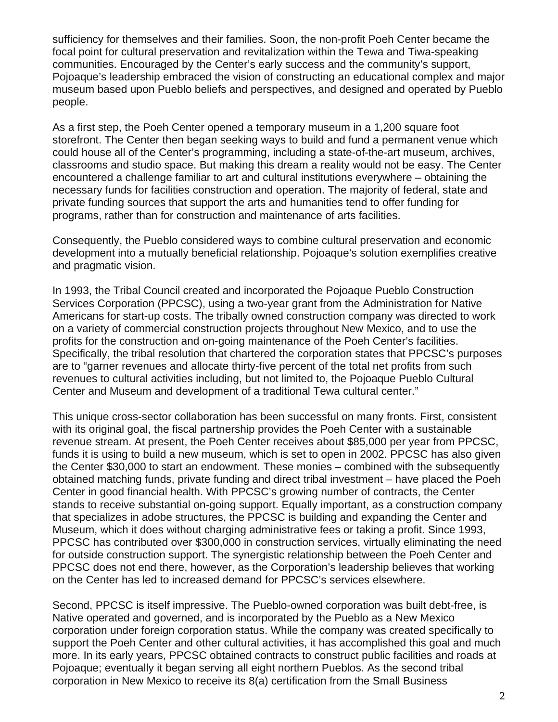sufficiency for themselves and their families. Soon, the non-profit Poeh Center became the focal point for cultural preservation and revitalization within the Tewa and Tiwa-speaking communities. Encouraged by the Center's early success and the community's support, Pojoaque's leadership embraced the vision of constructing an educational complex and major museum based upon Pueblo beliefs and perspectives, and designed and operated by Pueblo people.

As a first step, the Poeh Center opened a temporary museum in a 1,200 square foot storefront. The Center then began seeking ways to build and fund a permanent venue which could house all of the Center's programming, including a state-of-the-art museum, archives, classrooms and studio space. But making this dream a reality would not be easy. The Center encountered a challenge familiar to art and cultural institutions everywhere – obtaining the necessary funds for facilities construction and operation. The majority of federal, state and private funding sources that support the arts and humanities tend to offer funding for programs, rather than for construction and maintenance of arts facilities.

Consequently, the Pueblo considered ways to combine cultural preservation and economic development into a mutually beneficial relationship. Pojoaque's solution exemplifies creative and pragmatic vision.

In 1993, the Tribal Council created and incorporated the Pojoaque Pueblo Construction Services Corporation (PPCSC), using a two-year grant from the Administration for Native Americans for start-up costs. The tribally owned construction company was directed to work on a variety of commercial construction projects throughout New Mexico, and to use the profits for the construction and on-going maintenance of the Poeh Center's facilities. Specifically, the tribal resolution that chartered the corporation states that PPCSC's purposes are to "garner revenues and allocate thirty-five percent of the total net profits from such revenues to cultural activities including, but not limited to, the Pojoaque Pueblo Cultural Center and Museum and development of a traditional Tewa cultural center."

This unique cross-sector collaboration has been successful on many fronts. First, consistent with its original goal, the fiscal partnership provides the Poeh Center with a sustainable revenue stream. At present, the Poeh Center receives about \$85,000 per year from PPCSC, funds it is using to build a new museum, which is set to open in 2002. PPCSC has also given the Center \$30,000 to start an endowment. These monies – combined with the subsequently obtained matching funds, private funding and direct tribal investment – have placed the Poeh Center in good financial health. With PPCSC's growing number of contracts, the Center stands to receive substantial on-going support. Equally important, as a construction company that specializes in adobe structures, the PPCSC is building and expanding the Center and Museum, which it does without charging administrative fees or taking a profit. Since 1993, PPCSC has contributed over \$300,000 in construction services, virtually eliminating the need for outside construction support. The synergistic relationship between the Poeh Center and PPCSC does not end there, however, as the Corporation's leadership believes that working on the Center has led to increased demand for PPCSC's services elsewhere.

Second, PPCSC is itself impressive. The Pueblo-owned corporation was built debt-free, is Native operated and governed, and is incorporated by the Pueblo as a New Mexico corporation under foreign corporation status. While the company was created specifically to support the Poeh Center and other cultural activities, it has accomplished this goal and much more. In its early years, PPCSC obtained contracts to construct public facilities and roads at Pojoaque; eventually it began serving all eight northern Pueblos. As the second tribal corporation in New Mexico to receive its 8(a) certification from the Small Business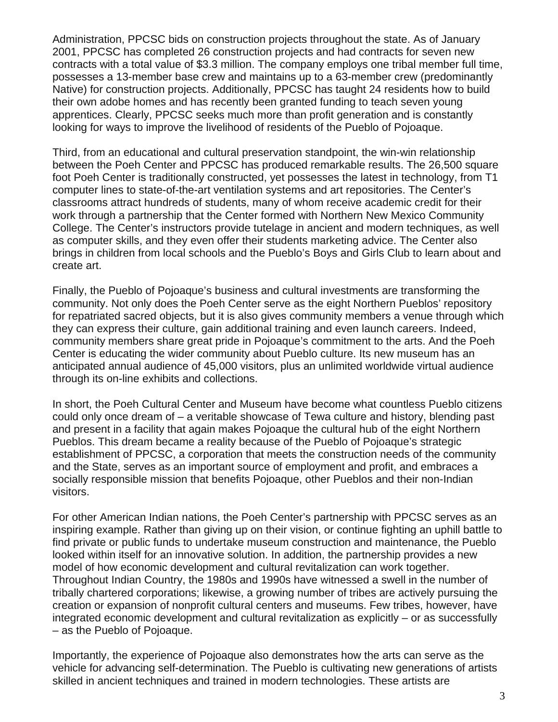Administration, PPCSC bids on construction projects throughout the state. As of January 2001, PPCSC has completed 26 construction projects and had contracts for seven new contracts with a total value of \$3.3 million. The company employs one tribal member full time, possesses a 13-member base crew and maintains up to a 63-member crew (predominantly Native) for construction projects. Additionally, PPCSC has taught 24 residents how to build their own adobe homes and has recently been granted funding to teach seven young apprentices. Clearly, PPCSC seeks much more than profit generation and is constantly looking for ways to improve the livelihood of residents of the Pueblo of Pojoaque.

Third, from an educational and cultural preservation standpoint, the win-win relationship between the Poeh Center and PPCSC has produced remarkable results. The 26,500 square foot Poeh Center is traditionally constructed, yet possesses the latest in technology, from T1 computer lines to state-of-the-art ventilation systems and art repositories. The Center's classrooms attract hundreds of students, many of whom receive academic credit for their work through a partnership that the Center formed with Northern New Mexico Community College. The Center's instructors provide tutelage in ancient and modern techniques, as well as computer skills, and they even offer their students marketing advice. The Center also brings in children from local schools and the Pueblo's Boys and Girls Club to learn about and create art.

Finally, the Pueblo of Pojoaque's business and cultural investments are transforming the community. Not only does the Poeh Center serve as the eight Northern Pueblos' repository for repatriated sacred objects, but it is also gives community members a venue through which they can express their culture, gain additional training and even launch careers. Indeed, community members share great pride in Pojoaque's commitment to the arts. And the Poeh Center is educating the wider community about Pueblo culture. Its new museum has an anticipated annual audience of 45,000 visitors, plus an unlimited worldwide virtual audience through its on-line exhibits and collections.

In short, the Poeh Cultural Center and Museum have become what countless Pueblo citizens could only once dream of – a veritable showcase of Tewa culture and history, blending past and present in a facility that again makes Pojoaque the cultural hub of the eight Northern Pueblos. This dream became a reality because of the Pueblo of Pojoaque's strategic establishment of PPCSC, a corporation that meets the construction needs of the community and the State, serves as an important source of employment and profit, and embraces a socially responsible mission that benefits Pojoaque, other Pueblos and their non-Indian visitors.

For other American Indian nations, the Poeh Center's partnership with PPCSC serves as an inspiring example. Rather than giving up on their vision, or continue fighting an uphill battle to find private or public funds to undertake museum construction and maintenance, the Pueblo looked within itself for an innovative solution. In addition, the partnership provides a new model of how economic development and cultural revitalization can work together. Throughout Indian Country, the 1980s and 1990s have witnessed a swell in the number of tribally chartered corporations; likewise, a growing number of tribes are actively pursuing the creation or expansion of nonprofit cultural centers and museums. Few tribes, however, have integrated economic development and cultural revitalization as explicitly – or as successfully – as the Pueblo of Pojoaque.

Importantly, the experience of Pojoaque also demonstrates how the arts can serve as the vehicle for advancing self-determination. The Pueblo is cultivating new generations of artists skilled in ancient techniques and trained in modern technologies. These artists are